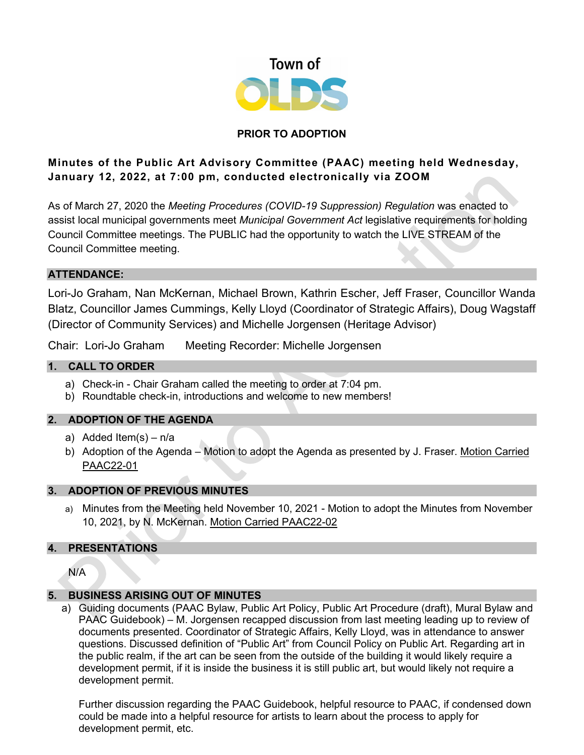

# **PRIOR TO ADOPTION**

# **Minutes of the Public Art Advisory Committee (PAAC) meeting held Wednesday, January 12, 2022, at 7:00 pm, conducted electronically via ZOOM**

As of March 27, 2020 the *Meeting Procedures (COVID-19 Suppression) Regulation* was enacted to assist local municipal governments meet *Municipal Government Act* legislative requirements for holding Council Committee meetings. The PUBLIC had the opportunity to watch the LIVE STREAM of the Council Committee meeting.

#### **ATTENDANCE:**

Lori-Jo Graham, Nan McKernan, Michael Brown, Kathrin Escher, Jeff Fraser, Councillor Wanda Blatz, Councillor James Cummings, Kelly Lloyd (Coordinator of Strategic Affairs), Doug Wagstaff (Director of Community Services) and Michelle Jorgensen (Heritage Advisor)

Chair: Lori-Jo Graham Meeting Recorder: Michelle Jorgensen

## **1. CALL TO ORDER**

- a) Check-in Chair Graham called the meeting to order at 7:04 pm.
- b) Roundtable check-in, introductions and welcome to new members!

## **2. ADOPTION OF THE AGENDA**

- a) Added Item(s) n/a
- b) Adoption of the Agenda Motion to adopt the Agenda as presented by J. Fraser. Motion Carried PAAC22-01

## **3. ADOPTION OF PREVIOUS MINUTES**

a) Minutes from the Meeting held November 10, 2021 - Motion to adopt the Minutes from November 10, 2021, by N. McKernan. Motion Carried PAAC22-02

## **4. PRESENTATIONS**

N/A

## **5. BUSINESS ARISING OUT OF MINUTES**

a) Guiding documents (PAAC Bylaw, Public Art Policy, Public Art Procedure (draft), Mural Bylaw and PAAC Guidebook) – M. Jorgensen recapped discussion from last meeting leading up to review of documents presented. Coordinator of Strategic Affairs, Kelly Lloyd, was in attendance to answer questions. Discussed definition of "Public Art" from Council Policy on Public Art. Regarding art in the public realm, if the art can be seen from the outside of the building it would likely require a development permit, if it is inside the business it is still public art, but would likely not require a development permit.

Further discussion regarding the PAAC Guidebook, helpful resource to PAAC, if condensed down could be made into a helpful resource for artists to learn about the process to apply for development permit, etc.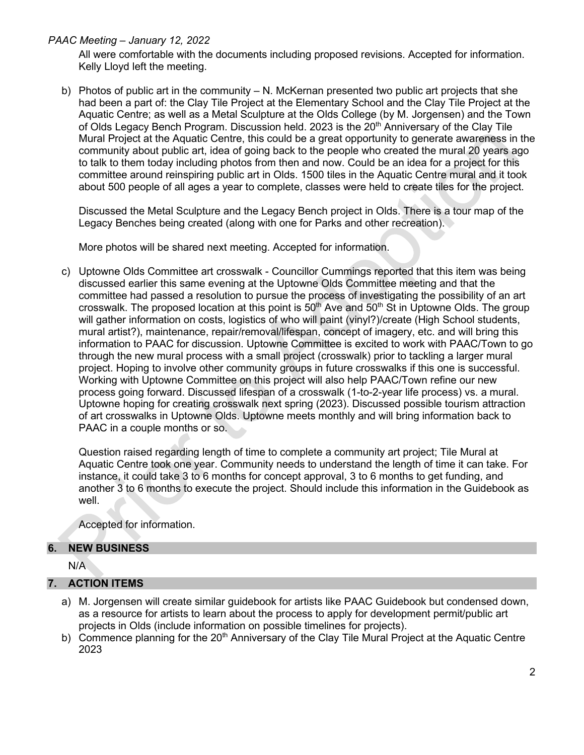*PAAC Meeting – January 12, 2022*

All were comfortable with the documents including proposed revisions. Accepted for information. Kelly Lloyd left the meeting.

b) Photos of public art in the community – N. McKernan presented two public art projects that she had been a part of: the Clay Tile Project at the Elementary School and the Clay Tile Project at the Aquatic Centre; as well as a Metal Sculpture at the Olds College (by M. Jorgensen) and the Town of Olds Legacy Bench Program. Discussion held. 2023 is the  $20<sup>th</sup>$  Anniversary of the Clay Tile Mural Project at the Aquatic Centre, this could be a great opportunity to generate awareness in the community about public art, idea of going back to the people who created the mural 20 years ago to talk to them today including photos from then and now. Could be an idea for a project for this committee around reinspiring public art in Olds. 1500 tiles in the Aquatic Centre mural and it took about 500 people of all ages a year to complete, classes were held to create tiles for the project.

Discussed the Metal Sculpture and the Legacy Bench project in Olds. There is a tour map of the Legacy Benches being created (along with one for Parks and other recreation).

More photos will be shared next meeting. Accepted for information.

c) Uptowne Olds Committee art crosswalk - Councillor Cummings reported that this item was being discussed earlier this same evening at the Uptowne Olds Committee meeting and that the committee had passed a resolution to pursue the process of investigating the possibility of an art crosswalk. The proposed location at this point is  $50<sup>th</sup>$  Ave and  $50<sup>th</sup>$  St in Uptowne Olds. The group will gather information on costs, logistics of who will paint (vinyl?)/create (High School students, mural artist?), maintenance, repair/removal/lifespan, concept of imagery, etc. and will bring this information to PAAC for discussion. Uptowne Committee is excited to work with PAAC/Town to go through the new mural process with a small project (crosswalk) prior to tackling a larger mural project. Hoping to involve other community groups in future crosswalks if this one is successful. Working with Uptowne Committee on this project will also help PAAC/Town refine our new process going forward. Discussed lifespan of a crosswalk (1-to-2-year life process) vs. a mural. Uptowne hoping for creating crosswalk next spring (2023). Discussed possible tourism attraction of art crosswalks in Uptowne Olds. Uptowne meets monthly and will bring information back to PAAC in a couple months or so.

Question raised regarding length of time to complete a community art project; Tile Mural at Aquatic Centre took one year. Community needs to understand the length of time it can take. For instance, it could take 3 to 6 months for concept approval, 3 to 6 months to get funding, and another 3 to 6 months to execute the project. Should include this information in the Guidebook as well.

Accepted for information.

## **6. NEW BUSINESS**

N/A

## **7. ACTION ITEMS**

- a) M. Jorgensen will create similar guidebook for artists like PAAC Guidebook but condensed down, as a resource for artists to learn about the process to apply for development permit/public art projects in Olds (include information on possible timelines for projects).
- b) Commence planning for the  $20<sup>th</sup>$  Anniversary of the Clay Tile Mural Project at the Aquatic Centre 2023